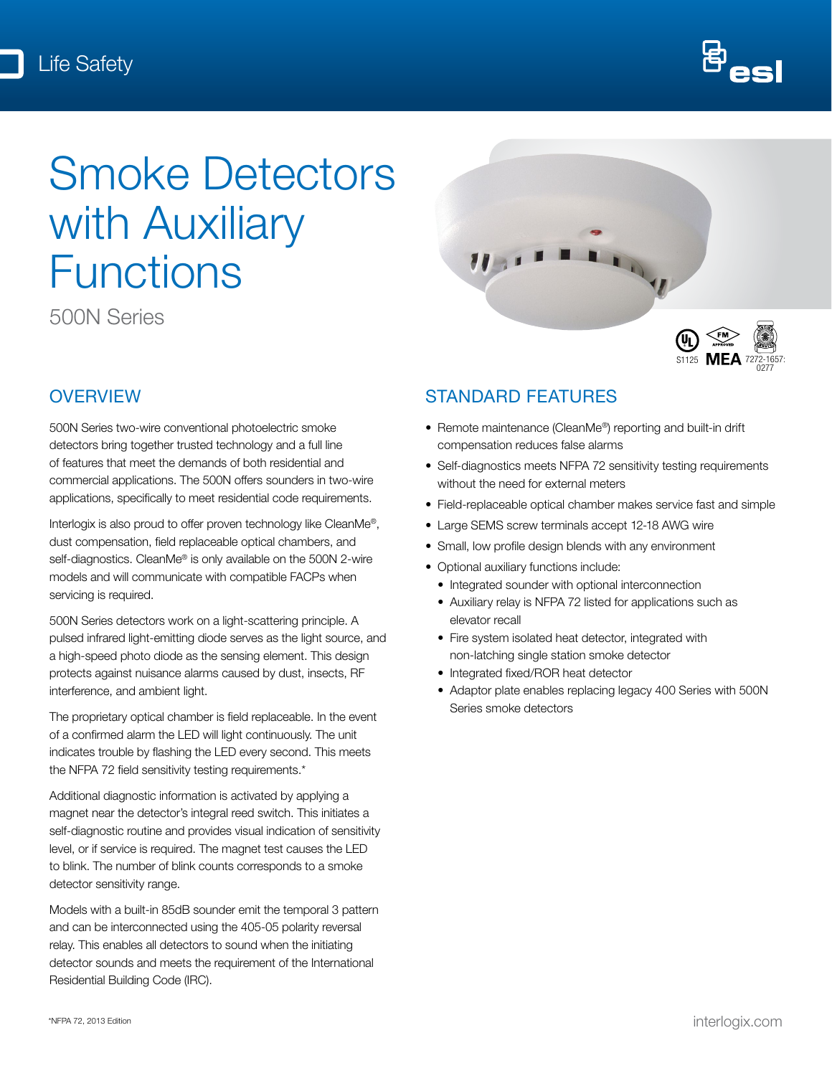

# Smoke Detectors with Auxiliary **Functions**

500N Series

# **OVERVIEW**

500N Series two-wire conventional photoelectric smoke detectors bring together trusted technology and a full line of features that meet the demands of both residential and commercial applications. The 500N offers sounders in two-wire applications, specifically to meet residential code requirements.

Interlogix is also proud to offer proven technology like CleanMe®, dust compensation, field replaceable optical chambers, and self-diagnostics. CleanMe® is only available on the 500N 2-wire models and will communicate with compatible FACPs when servicing is required.

500N Series detectors work on a light-scattering principle. A pulsed infrared light-emitting diode serves as the light source, and a high-speed photo diode as the sensing element. This design protects against nuisance alarms caused by dust, insects, RF interference, and ambient light.

The proprietary optical chamber is field replaceable. In the event of a confirmed alarm the LED will light continuously. The unit indicates trouble by flashing the LED every second. This meets the NFPA 72 field sensitivity testing requirements.\*

Additional diagnostic information is activated by applying a magnet near the detector's integral reed switch. This initiates a self-diagnostic routine and provides visual indication of sensitivity level, or if service is required. The magnet test causes the LED to blink. The number of blink counts corresponds to a smoke detector sensitivity range.

Models with a built-in 85dB sounder emit the temporal 3 pattern and can be interconnected using the 405-05 polarity reversal relay. This enables all detectors to sound when the initiating detector sounds and meets the requirement of the International Residential Building Code (IRC).



## STANDARD FEATURES

- Remote maintenance (CleanMe®) reporting and built-in drift compensation reduces false alarms
- Self-diagnostics meets NFPA 72 sensitivity testing requirements without the need for external meters
- Field-replaceable optical chamber makes service fast and simple
- Large SEMS screw terminals accept 12-18 AWG wire
- Small, low profile design blends with any environment
- Optional auxiliary functions include:
	- Integrated sounder with optional interconnection
	- Auxiliary relay is NFPA 72 listed for applications such as elevator recall
	- Fire system isolated heat detector, integrated with non-latching single station smoke detector
	- Integrated fixed/ROR heat detector
	- Adaptor plate enables replacing legacy 400 Series with 500N Series smoke detectors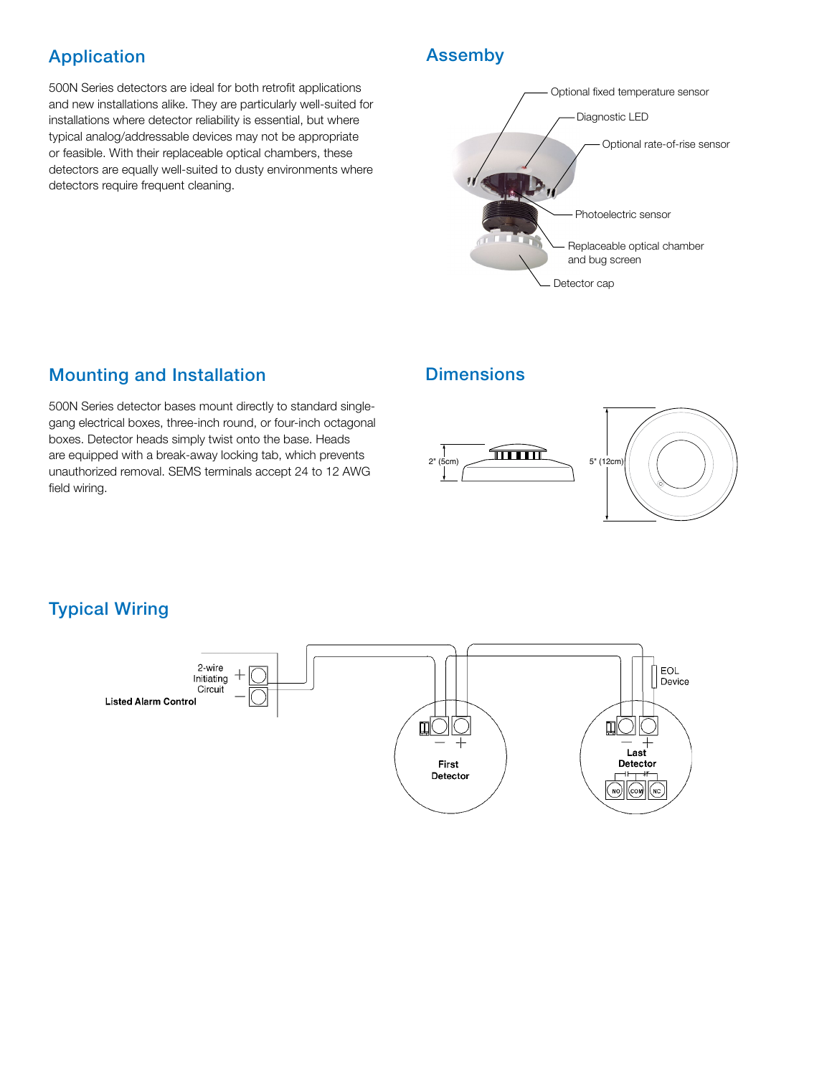# Application **Assemby**

500N Series detectors are ideal for both retrofit applications and new installations alike. They are particularly well-suited for installations where detector reliability is essential, but where typical analog/addressable devices may not be appropriate or feasible. With their replaceable optical chambers, these detectors are equally well-suited to dusty environments where detectors require frequent cleaning.



# **Mounting and Installation Communisty Dimensions**

500N Series detector bases mount directly to standard singlegang electrical boxes, three-inch round, or four-inch octagonal boxes. Detector heads simply twist onto the base. Heads are equipped with a break-away locking tab, which prevents unauthorized removal. SEMS terminals accept 24 to 12 AWG field wiring.



# Typical Wiring

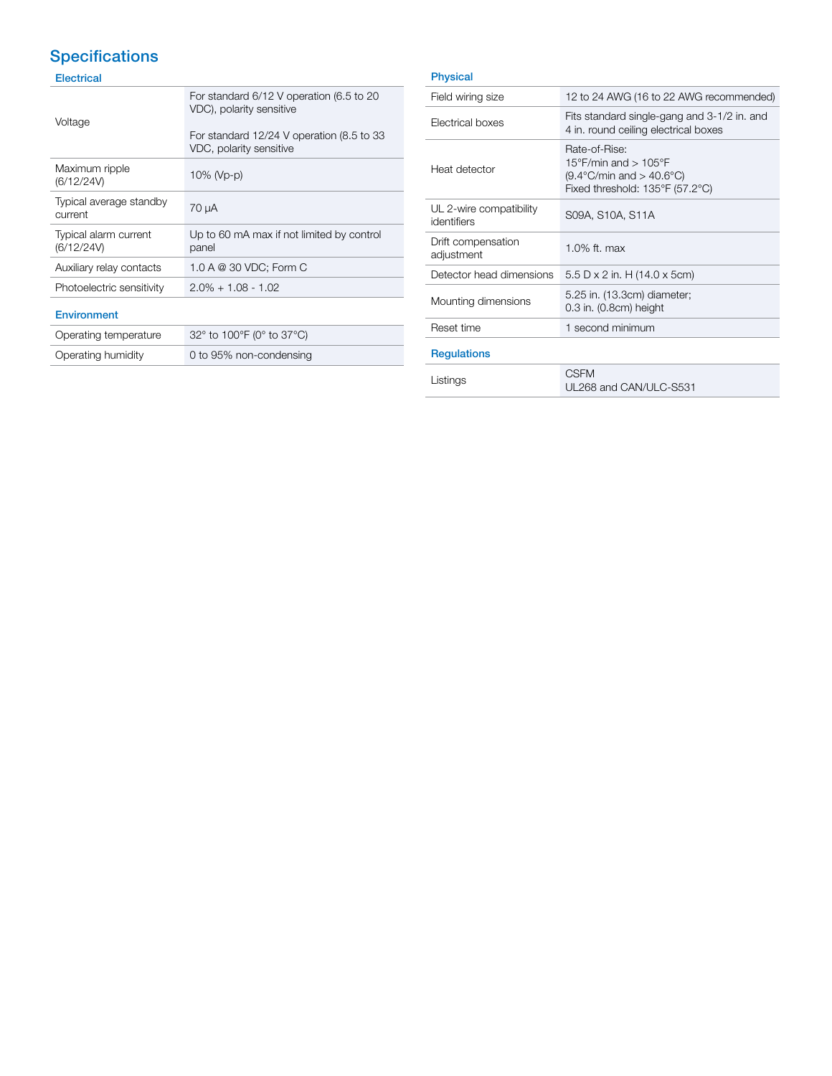# **Specifications**

### Electrical

| Voltage                             | For standard 6/12 V operation (6.5 to 20<br>VDC), polarity sensitive<br>For standard 12/24 V operation (8.5 to 33<br>VDC, polarity sensitive |  |
|-------------------------------------|----------------------------------------------------------------------------------------------------------------------------------------------|--|
| Maximum ripple<br>(6/12/24V)        | 10% (Vp-p)                                                                                                                                   |  |
| Typical average standby<br>current  | 70 µA                                                                                                                                        |  |
| Typical alarm current<br>(6/12/24V) | Up to 60 mA max if not limited by control<br>panel                                                                                           |  |
| Auxiliary relay contacts            | 1.0 A @ 30 VDC; Form C                                                                                                                       |  |
| Photoelectric sensitivity           | $2.0\% + 1.08 - 1.02$                                                                                                                        |  |
| <b>Environment</b>                  |                                                                                                                                              |  |
| Operating temperature               | 32° to 100°F (0° to 37°C)                                                                                                                    |  |
| Operating humidity                  | 0 to 95% non-condensing                                                                                                                      |  |

#### Physical

| Field wiring size                      | 12 to 24 AWG (16 to 22 AWG recommended)                                                                                     |  |
|----------------------------------------|-----------------------------------------------------------------------------------------------------------------------------|--|
| Electrical boxes                       | Fits standard single-gang and 3-1/2 in. and<br>4 in. round ceiling electrical boxes                                         |  |
| Heat detector                          | Rate-of-Rise:<br>15°F/min and $> 105$ °F<br>$(9.4^{\circ}$ C/min and $> 40.6^{\circ}$ C)<br>Fixed threshold: 135°F (57.2°C) |  |
| UL 2-wire compatibility<br>identifiers | S09A, S10A, S11A                                                                                                            |  |
| Drift compensation<br>adjustment       | 1.0% ft. max                                                                                                                |  |
| Detector head dimensions               | 5.5 D x 2 in. H (14.0 x 5cm)                                                                                                |  |
| Mounting dimensions                    | 5.25 in. (13.3cm) diameter;<br>$0.3$ in. $(0.8cm)$ height                                                                   |  |
| Reset time                             | 1 second minimum                                                                                                            |  |
| <b>Regulations</b>                     |                                                                                                                             |  |
| Listings                               | <b>CSFM</b><br>UL268 and CAN/ULC-S531                                                                                       |  |